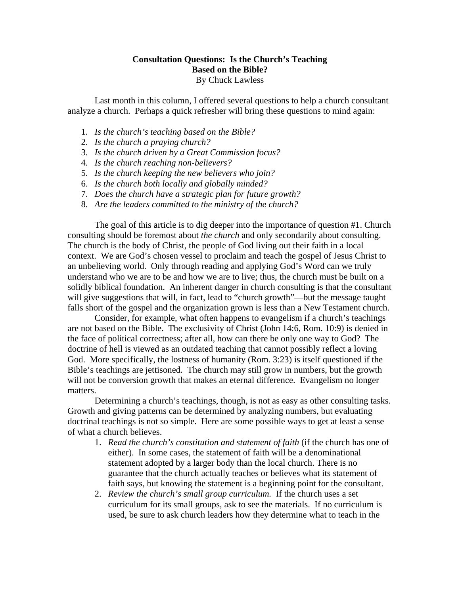## **Consultation Questions: Is the Church's Teaching Based on the Bible?**  By Chuck Lawless

Last month in this column, I offered several questions to help a church consultant analyze a church. Perhaps a quick refresher will bring these questions to mind again:

- 1. *Is the church's teaching based on the Bible?*
- 2. *Is the church a praying church?*
- 3. *Is the church driven by a Great Commission focus?*
- 4. *Is the church reaching non-believers?*
- 5. *Is the church keeping the new believers who join?*
- 6. *Is the church both locally and globally minded?*
- 7. *Does the church have a strategic plan for future growth?*
- 8. *Are the leaders committed to the ministry of the church?*

The goal of this article is to dig deeper into the importance of question #1. Church consulting should be foremost about *the church* and only secondarily about consulting. The church is the body of Christ, the people of God living out their faith in a local context. We are God's chosen vessel to proclaim and teach the gospel of Jesus Christ to an unbelieving world. Only through reading and applying God's Word can we truly understand who we are to be and how we are to live; thus, the church must be built on a solidly biblical foundation. An inherent danger in church consulting is that the consultant will give suggestions that will, in fact, lead to "church growth"—but the message taught falls short of the gospel and the organization grown is less than a New Testament church.

 Consider, for example, what often happens to evangelism if a church's teachings are not based on the Bible. The exclusivity of Christ (John 14:6, Rom. 10:9) is denied in the face of political correctness; after all, how can there be only one way to God? The doctrine of hell is viewed as an outdated teaching that cannot possibly reflect a loving God. More specifically, the lostness of humanity (Rom. 3:23) is itself questioned if the Bible's teachings are jettisoned. The church may still grow in numbers, but the growth will not be conversion growth that makes an eternal difference. Evangelism no longer matters.

 Determining a church's teachings, though, is not as easy as other consulting tasks. Growth and giving patterns can be determined by analyzing numbers, but evaluating doctrinal teachings is not so simple. Here are some possible ways to get at least a sense of what a church believes.

- 1. *Read the church's constitution and statement of faith* (if the church has one of either). In some cases, the statement of faith will be a denominational statement adopted by a larger body than the local church. There is no guarantee that the church actually teaches or believes what its statement of faith says, but knowing the statement is a beginning point for the consultant.
- 2. *Review the church's small group curriculum.* If the church uses a set curriculum for its small groups, ask to see the materials. If no curriculum is used, be sure to ask church leaders how they determine what to teach in the